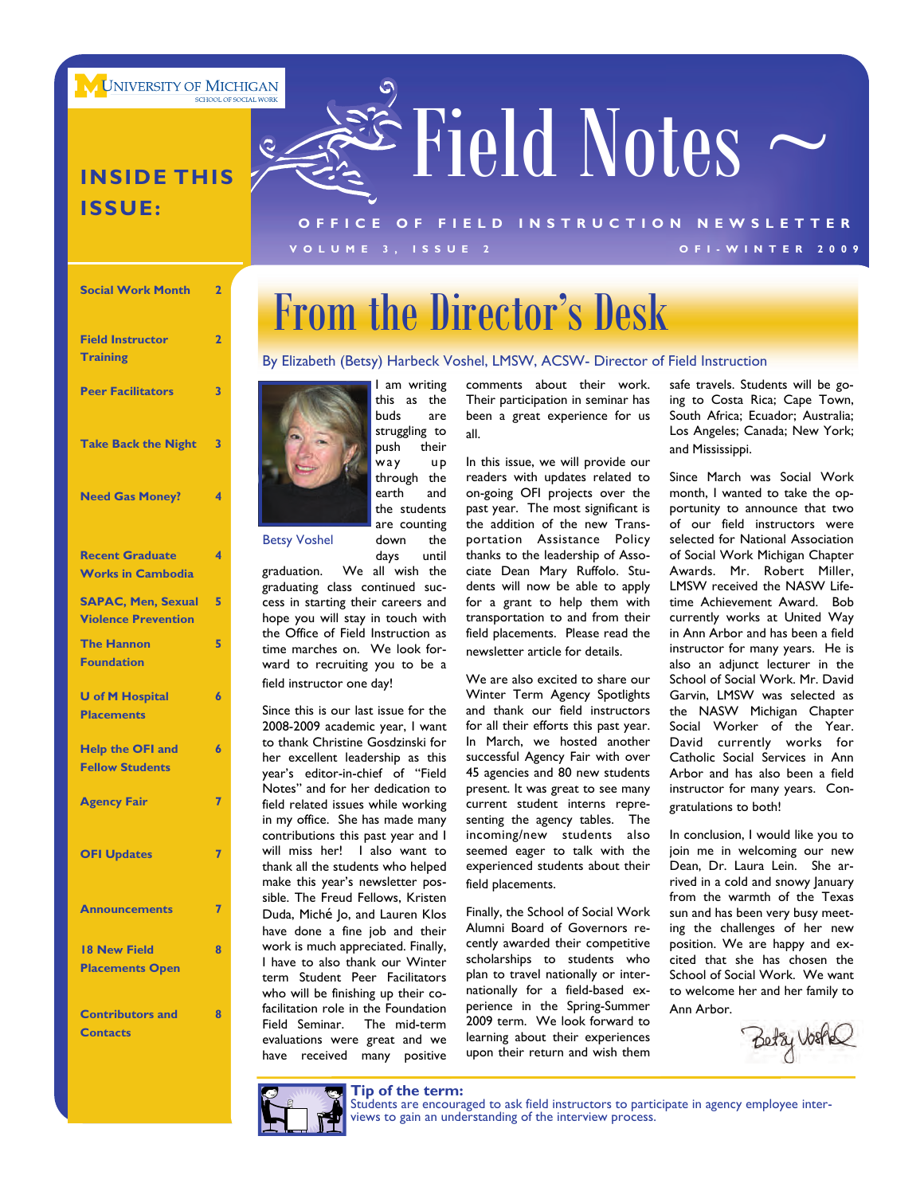**UNIVERSITY OF MICHIGAN** 

## **INSIDE THIS ISSUE:**

| <b>Social Work Month</b>                                | $\overline{2}$          |
|---------------------------------------------------------|-------------------------|
| <b>Field Instructor</b><br><b>Training</b>              | $\overline{2}$          |
| <b>Peer Facilitators</b>                                | $\overline{\mathbf{3}}$ |
| <b>Take Back the Night</b>                              | $\overline{\mathbf{3}}$ |
| <b>Need Gas Money?</b>                                  | 4                       |
| <b>Recent Graduate</b><br><b>Works in Cambodia</b>      | 4                       |
| <b>SAPAC, Men, Sexual</b><br><b>Violence Prevention</b> | 5                       |
| <b>The Hannon</b><br><b>Foundation</b>                  | 5                       |
| <b>U</b> of M Hospital<br><b>Placements</b>             | 6                       |
| <b>Help the OFI and</b><br><b>Fellow Students</b>       | 6                       |
| <b>Agency Fair</b>                                      | 7                       |
| <b>OFI Updates</b>                                      | 7                       |
| <b>Announcements</b>                                    | 7                       |
| <b>18 New Field</b><br><b>Placements Open</b>           | 8                       |
| <b>Contributors and</b><br><b>Contacts</b>              | 8                       |



are counting down the

From the Director's Desk

Betsy Voshel

days until graduation. We all wish the graduating class continued success in starting their careers and hope you will stay in touch with the Office of Field Instruction as time marches on. We look forward to recruiting you to be a field instructor one day!

Since this is our last issue for the 2008-2009 academic year, I want to thank Christine Gosdzinski for her excellent leadership as this year's editor-in-chief of "Field Notes" and for her dedication to field related issues while working in my office. She has made many contributions this past year and I will miss her! I also want to thank all the students who helped make this year's newsletter possible. The Freud Fellows, Kristen Duda, Miché Jo, and Lauren Klos have done a fine job and their work is much appreciated. Finally, I have to also thank our Winter term Student Peer Facilitators who will be finishing up their cofacilitation role in the Foundation Field Seminar. The mid-term evaluations were great and we have received many positive

comments about their work. Their participation in seminar has been a great experience for us all.

**VOLUME 3, ISSUE 2 OFI-WINTER 2009** 

**OFFICE OF FIELD INST RUCTION NEWSLETTER** 

~ Field Notes ~

In this issue, we will provide our readers with updates related to on-going OFI projects over the past year. The most significant is the addition of the new Transportation Assistance Policy thanks to the leadership of Associate Dean Mary Ruffolo. Students will now be able to apply for a grant to help them with transportation to and from their field placements. Please read the newsletter article for details.

We are also excited to share our Winter Term Agency Spotlights and thank our field instructors for all their efforts this past year. In March, we hosted another successful Agency Fair with over 45 agencies and 80 new students present. It was great to see many current student interns representing the agency tables. The incoming/new students also seemed eager to talk with the experienced students about their field placements.

Finally, the School of Social Work Alumni Board of Governors recently awarded their competitive scholarships to students who plan to travel nationally or internationally for a field-based experience in the Spring-Summer 2009 term. We look forward to learning about their experiences upon their return and wish them

safe travels. Students will be going to Costa Rica; Cape Town, South Africa; Ecuador; Australia; Los Angeles; Canada; New York; and Mississippi.

Since March was Social Work month, I wanted to take the opportunity to announce that two of our field instructors were selected for National Association of Social Work Michigan Chapter Awards. Mr. Robert Miller, LMSW received the NASW Lifetime Achievement Award. Bob currently works at United Way in Ann Arbor and has been a field instructor for many years. He is also an adjunct lecturer in the School of Social Work. Mr. David Garvin, LMSW was selected as the NASW Michigan Chapter Social Worker of the Year. David currently works for Catholic Social Services in Ann Arbor and has also been a field instructor for many years. Congratulations to both!

In conclusion, I would like you to join me in welcoming our new Dean, Dr. Laura Lein. She arrived in a cold and snowy January from the warmth of the Texas sun and has been very busy meeting the challenges of her new position. We are happy and excited that she has chosen the School of Social Work. We want to welcome her and her family to Ann Arbor.

Betsy Vostle



**Tip of the term:**  Students are encouraged to ask field instructors to participate in agency employee inter- views to gain an understanding of the interview process.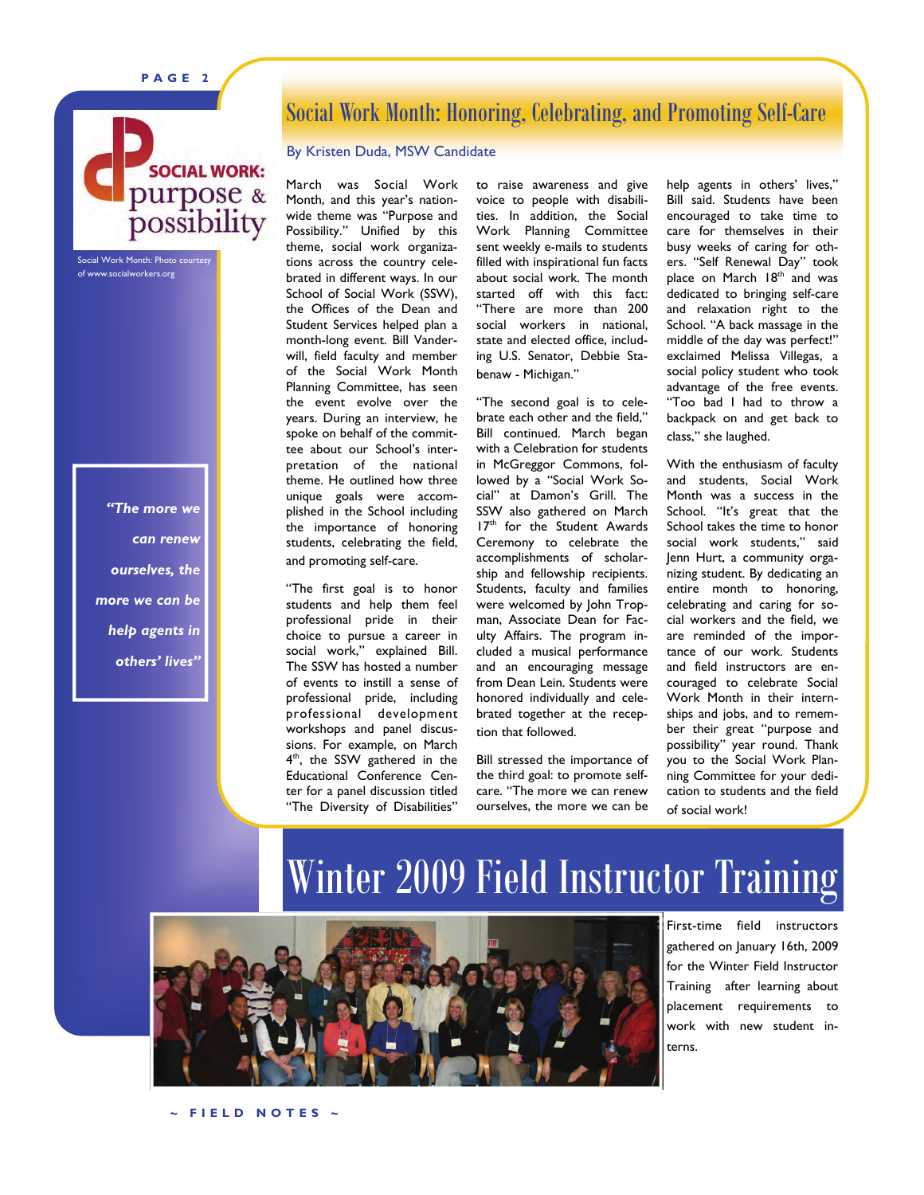### **PAGE 2**



Social Work Month: Photo courtesy of www.socialworkers.org

> *"The more we can renew ourselves, the more we can be help agents in others' lives"*

## Social Work Month: Honoring, Celebrating, and Promoting Self-Care

### By Kristen Duda, MSW Candidate

March was Social Work Month, and this year's nationwide theme was "Purpose and Possibility." Unified by this theme, social work organizations across the country celebrated in different ways. In our School of Social Work (SSW), the Offices of the Dean and Student Services helped plan a month-long event. Bill Vanderwill, field faculty and member of the Social Work Month Planning Committee, has seen the event evolve over the years. During an interview, he spoke on behalf of the committee about our School's interpretation of the national theme. He outlined how three unique goals were accomplished in the School including the importance of honoring students, celebrating the field, and promoting self-care.

"The first goal is to honor students and help them feel professional pride in their choice to pursue a career in social work," explained Bill. The SSW has hosted a number of events to instill a sense of professional pride, including professional development workshops and panel discussions. For example, on March  $4<sup>th</sup>$ , the SSW gathered in the Educational Conference Center for a panel discussion titled "The Diversity of Disabilities"

to raise awareness and give voice to people with disabilities. In addition, the Social Work Planning Committee sent weekly e-mails to students filled with inspirational fun facts about social work. The month started off with this fact: "There are more than 200 social workers in national, state and elected office, including U.S. Senator, Debbie Stabenaw - Michigan."

"The second goal is to celebrate each other and the field," Bill continued. March began with a Celebration for students in McGreggor Commons, followed by a "Social Work Social" at Damon's Grill. The SSW also gathered on March 17<sup>th</sup> for the Student Awards Ceremony to celebrate the accomplishments of scholarship and fellowship recipients. Students, faculty and families were welcomed by John Tropman, Associate Dean for Faculty Affairs. The program included a musical performance and an encouraging message from Dean Lein. Students were honored individually and celebrated together at the reception that followed.

Bill stressed the importance of the third goal: to promote selfcare. "The more we can renew ourselves, the more we can be

help agents in others' lives," Bill said. Students have been encouraged to take time to care for themselves in their busy weeks of caring for others. "Self Renewal Day" took place on March 18<sup>th</sup> and was dedicated to bringing self-care and relaxation right to the School. "A back massage in the middle of the day was perfect!" exclaimed Melissa Villegas, a social policy student who took advantage of the free events. "Too bad I had to throw a backpack on and get back to class," she laughed.

With the enthusiasm of faculty and students, Social Work Month was a success in the School. "It's great that the School takes the time to honor social work students," said Jenn Hurt, a community organizing student. By dedicating an entire month to honoring, celebrating and caring for social workers and the field, we are reminded of the importance of our work. Students and field instructors are encouraged to celebrate Social Work Month in their internships and jobs, and to remember their great "purpose and possibility" year round. Thank you to the Social Work Planning Committee for your dedication to students and the field of social work!

# Winter 2009 Field Instructor Training



First-time field instructors gathered on January 16th, 2009 for the Winter Field Instructor Training after learning about placement requirements to work with new student interns.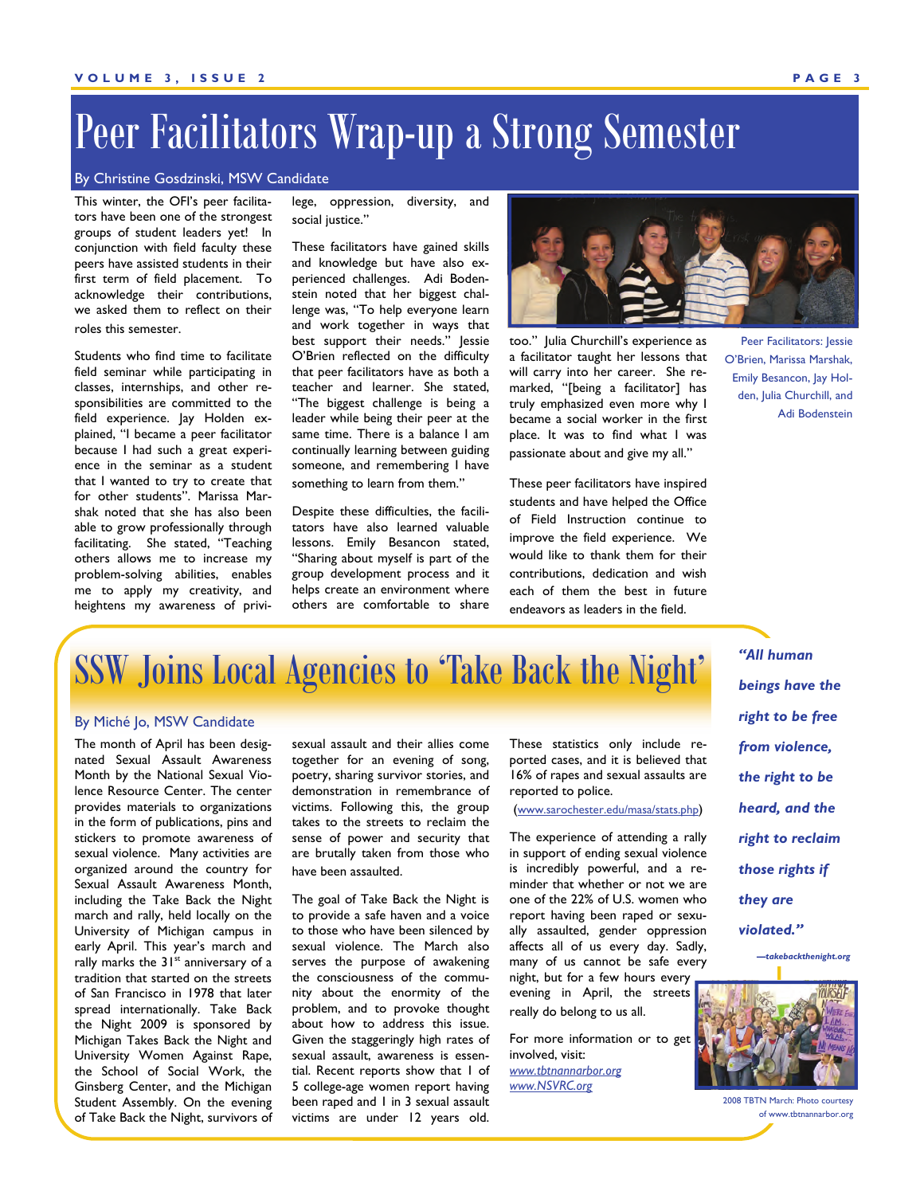# Peer Facilitators Wrap-up a Strong Semester

### By Christine Gosdzinski, MSW Candidate

This winter, the OFI's peer facilitators have been one of the strongest groups of student leaders yet! In conjunction with field faculty these peers have assisted students in their first term of field placement. To acknowledge their contributions, we asked them to reflect on their roles this semester.

Students who find time to facilitate field seminar while participating in classes, internships, and other responsibilities are committed to the field experience. Jay Holden explained, "I became a peer facilitator because I had such a great experience in the seminar as a student that I wanted to try to create that for other students". Marissa Marshak noted that she has also been able to grow professionally through facilitating. She stated, "Teaching others allows me to increase my problem-solving abilities, enables me to apply my creativity, and heightens my awareness of privilege, oppression, diversity, and social justice."

These facilitators have gained skills and knowledge but have also experienced challenges. Adi Bodenstein noted that her biggest challenge was, "To help everyone learn and work together in ways that best support their needs." Jessie O'Brien reflected on the difficulty that peer facilitators have as both a teacher and learner. She stated, "The biggest challenge is being a leader while being their peer at the same time. There is a balance I am continually learning between guiding someone, and remembering I have something to learn from them."

Despite these difficulties, the facilitators have also learned valuable lessons. Emily Besancon stated, "Sharing about myself is part of the group development process and it helps create an environment where others are comfortable to share



too." Julia Churchill's experience as a facilitator taught her lessons that will carry into her career. She remarked, "[being a facilitator] has truly emphasized even more why I became a social worker in the first place. It was to find what I was passionate about and give my all."

Peer Facilitators: Jessie O'Brien, Marissa Marshak, Emily Besancon, Jay Holden, Julia Churchill, and Adi Bodenstein

These peer facilitators have inspired students and have helped the Office of Field Instruction continue to improve the field experience. We would like to thank them for their contributions, dedication and wish each of them the best in future endeavors as leaders in the field.

## SSW Joins Local Agencies to 'Take Back the Night'

### By Miché Jo, MSW Candidate

The month of April has been designated Sexual Assault Awareness Month by the National Sexual Violence Resource Center. The center provides materials to organizations in the form of publications, pins and stickers to promote awareness of sexual violence. Many activities are organized around the country for Sexual Assault Awareness Month, including the Take Back the Night march and rally, held locally on the University of Michigan campus in early April. This year's march and rally marks the  $31^{st}$  anniversary of a tradition that started on the streets of San Francisco in 1978 that later spread internationally. Take Back the Night 2009 is sponsored by Michigan Takes Back the Night and University Women Against Rape, the School of Social Work, the Ginsberg Center, and the Michigan Student Assembly. On the evening of Take Back the Night, survivors of

sexual assault and their allies come together for an evening of song, poetry, sharing survivor stories, and demonstration in remembrance of victims. Following this, the group takes to the streets to reclaim the sense of power and security that are brutally taken from those who have been assaulted.

The goal of Take Back the Night is to provide a safe haven and a voice to those who have been silenced by sexual violence. The March also serves the purpose of awakening the consciousness of the community about the enormity of the problem, and to provoke thought about how to address this issue. Given the staggeringly high rates of sexual assault, awareness is essential. Recent reports show that 1 of 5 college-age women report having been raped and 1 in 3 sexual assault victims are under 12 years old.

These statistics only include reported cases, and it is believed that 16% of rapes and sexual assaults are reported to police.

### [\(www.sarochester.edu/masa/stats.php](http://www.sarochester.edu/masa/stats.php))

The experience of attending a rally in support of ending sexual violence is incredibly powerful, and a reminder that whether or not we are one of the 22% of U.S. women who report having been raped or sexually assaulted, gender oppression affects all of us every day. Sadly, many of us cannot be safe every

night, but for a few hours every evening in April, the streets really do belong to us all.

For more information or to get involved, visit: *[www.tbtnannarbor.org](http://www.tbtnannarbor.org) [www.NSVRC.org](http://www.NSVRC.org)*

*"All human beings have the right to be free from violence, the right to be heard, and the right to reclaim those rights if they are violated."* 

*—takebackthenight.org* 



2008 TBTN March: Photo courtesy of www.tbtnannarbor.org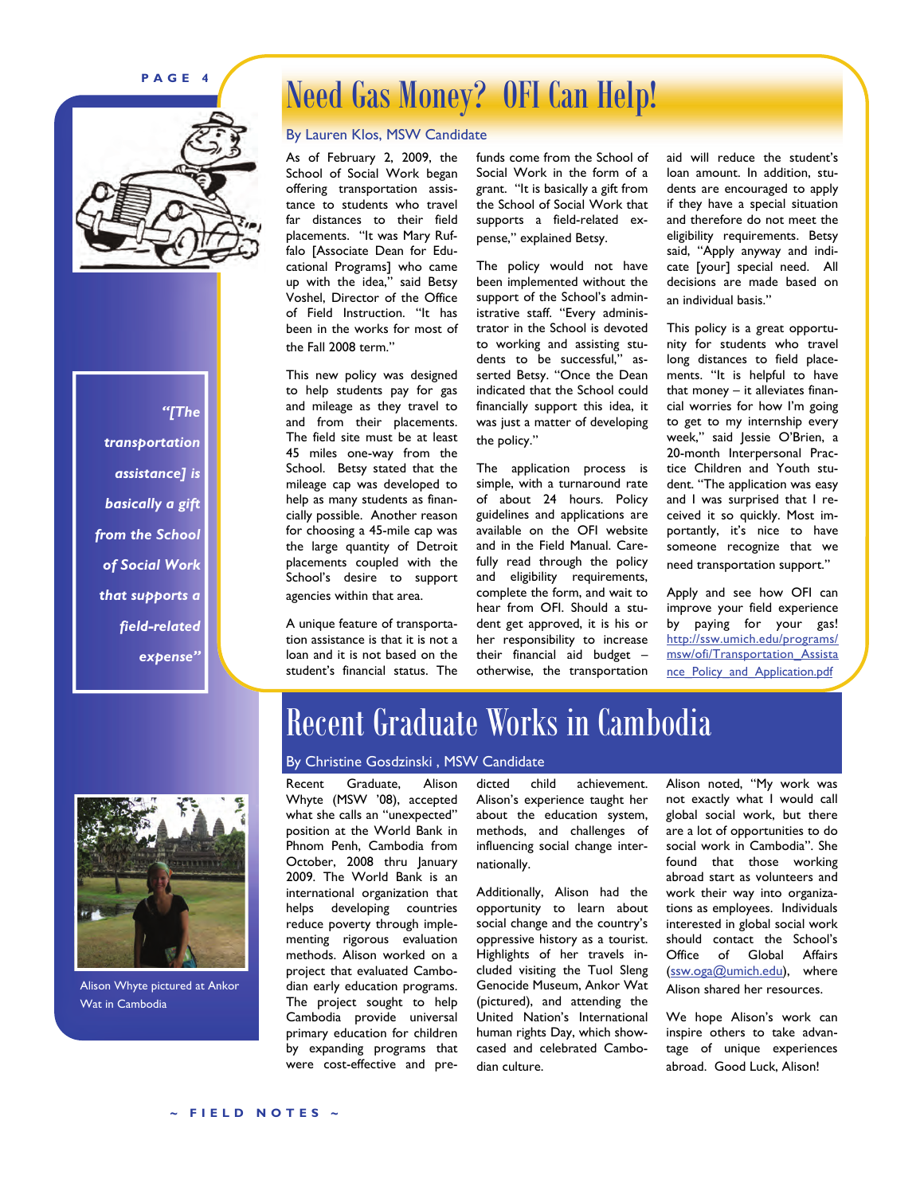### **PAGE 4**



*"[The transportation assistance] is basically a gift from the School of Social Work that supports a field-related expense"* 

## Need Gas Money? OFI Can Help!

### By Lauren Klos, MSW Candidate

As of February 2, 2009, the School of Social Work began offering transportation assistance to students who travel far distances to their field placements. "It was Mary Ruffalo [Associate Dean for Educational Programs] who came up with the idea," said Betsy Voshel, Director of the Office of Field Instruction. "It has been in the works for most of the Fall 2008 term."

This new policy was designed to help students pay for gas and mileage as they travel to and from their placements. The field site must be at least 45 miles one-way from the School. Betsy stated that the mileage cap was developed to help as many students as financially possible. Another reason for choosing a 45-mile cap was the large quantity of Detroit placements coupled with the School's desire to support agencies within that area.

A unique feature of transportation assistance is that it is not a loan and it is not based on the student's financial status. The funds come from the School of Social Work in the form of a grant. "It is basically a gift from the School of Social Work that supports a field-related expense," explained Betsy.

The policy would not have been implemented without the support of the School's administrative staff. "Every administrator in the School is devoted to working and assisting students to be successful," asserted Betsy. "Once the Dean indicated that the School could financially support this idea, it was just a matter of developing the policy."

The application process is simple, with a turnaround rate of about 24 hours. Policy guidelines and applications are available on the OFI website and in the Field Manual. Carefully read through the policy and eligibility requirements, complete the form, and wait to hear from OFI. Should a student get approved, it is his or her responsibility to increase their financial aid budget – otherwise, the transportation

aid will reduce the student's loan amount. In addition, students are encouraged to apply if they have a special situation and therefore do not meet the eligibility requirements. Betsy said, "Apply anyway and indicate [your] special need. All decisions are made based on an individual basis."

This policy is a great opportunity for students who travel long distances to field placements. "It is helpful to have that money – it alleviates financial worries for how I'm going to get to my internship every week," said Jessie O'Brien, a 20-month Interpersonal Practice Children and Youth student. "The application was easy and I was surprised that I received it so quickly. Most importantly, it's nice to have someone recognize that we need transportation support."

Apply and see how OFI can improve your field experience by paying for your gas! http://ssw.umich.edu/programs/ msw/ofi/Transportation\_Assista nce Policy and Application.pdf

## Recent Graduate Works in Cambodia

### By Christine Gosdzinski , MSW Candidate

Recent Graduate, Alison Whyte (MSW '08), accepted what she calls an "unexpected" position at the World Bank in Phnom Penh, Cambodia from October, 2008 thru January 2009. The World Bank is an international organization that helps developing countries reduce poverty through implementing rigorous evaluation methods. Alison worked on a project that evaluated Cambodian early education programs. The project sought to help Cambodia provide universal primary education for children by expanding programs that were cost-effective and predicted child achievement. Alison's experience taught her about the education system, methods, and challenges of influencing social change internationally.

Additionally, Alison had the opportunity to learn about social change and the country's oppressive history as a tourist. Highlights of her travels included visiting the Tuol Sleng Genocide Museum, Ankor Wat (pictured), and attending the United Nation's International human rights Day, which showcased and celebrated Cambodian culture.

Alison noted, "My work was not exactly what I would call global social work, but there are a lot of opportunities to do social work in Cambodia". She found that those working abroad start as volunteers and work their way into organizations as employees. Individuals interested in global social work should contact the School's Office of Global Affairs [\(ssw.oga@umich.edu](mailto:ssw.oga@umich.edu)), where Alison shared her resources.

We hope Alison's work can inspire others to take advantage of unique experiences abroad. Good Luck, Alison!



Wat in Cambodia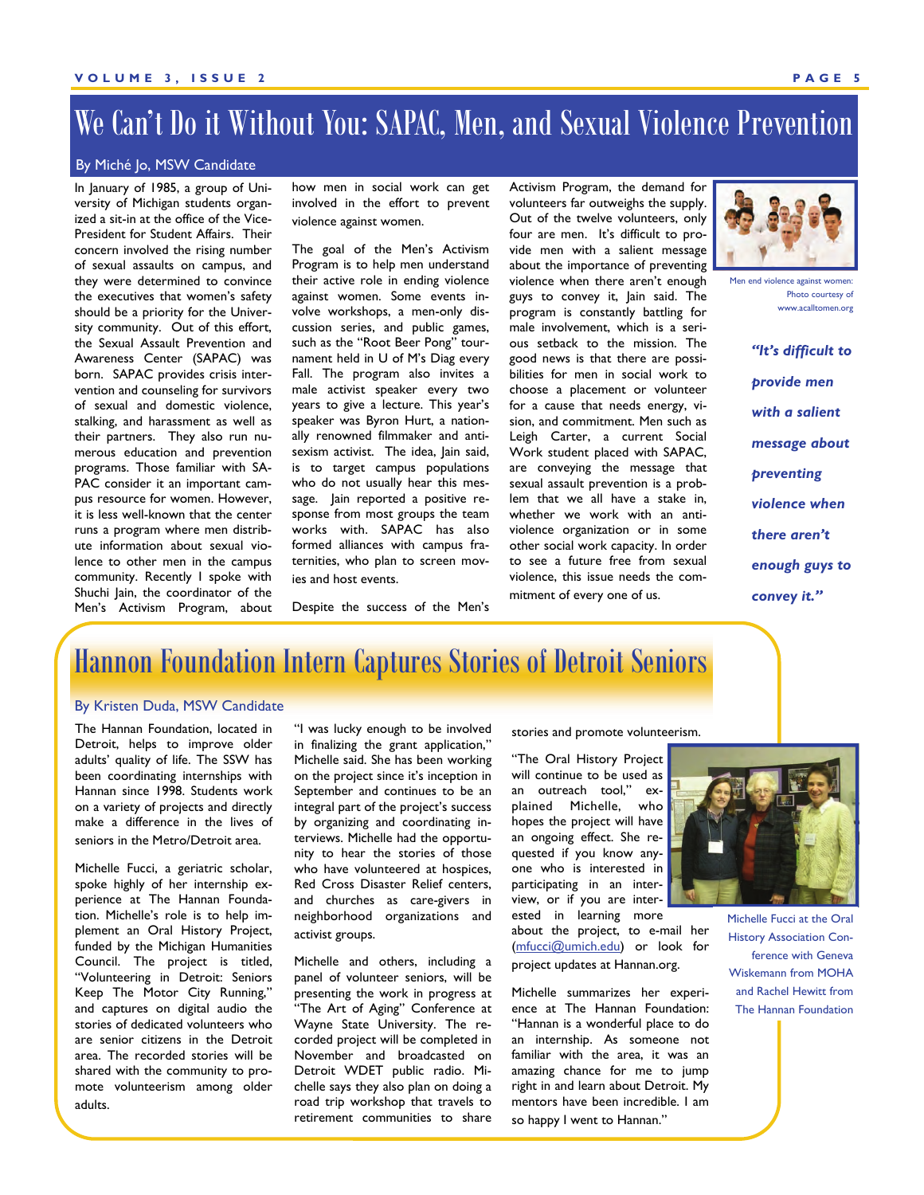## We Can't Do it Without You: SAPAC, Men, and Sexual Violence Prevention

### By Miché Jo, MSW Candidate

In January of 1985, a group of University of Michigan students organized a sit-in at the office of the Vice-President for Student Affairs. Their concern involved the rising number of sexual assaults on campus, and they were determined to convince the executives that women's safety should be a priority for the University community. Out of this effort, the Sexual Assault Prevention and Awareness Center (SAPAC) was born. SAPAC provides crisis intervention and counseling for survivors of sexual and domestic violence, stalking, and harassment as well as their partners. They also run numerous education and prevention programs. Those familiar with SA-PAC consider it an important campus resource for women. However, it is less well-known that the center runs a program where men distribute information about sexual violence to other men in the campus community. Recently I spoke with Shuchi Jain, the coordinator of the Men's Activism Program, about

how men in social work can get involved in the effort to prevent violence against women.

The goal of the Men's Activism Program is to help men understand their active role in ending violence against women. Some events involve workshops, a men-only discussion series, and public games, such as the "Root Beer Pong" tournament held in U of M's Diag every Fall. The program also invites a male activist speaker every two years to give a lecture. This year's speaker was Byron Hurt, a nationally renowned filmmaker and antisexism activist. The idea, Jain said, is to target campus populations who do not usually hear this message. Jain reported a positive response from most groups the team works with. SAPAC has also formed alliances with campus fraternities, who plan to screen movies and host events.

Despite the success of the Men's

Activism Program, the demand for volunteers far outweighs the supply. Out of the twelve volunteers, only four are men. It's difficult to provide men with a salient message about the importance of preventing violence when there aren't enough guys to convey it, Jain said. The program is constantly battling for male involvement, which is a serious setback to the mission. The good news is that there are possibilities for men in social work to choose a placement or volunteer for a cause that needs energy, vision, and commitment. Men such as Leigh Carter, a current Social Work student placed with SAPAC, are conveying the message that sexual assault prevention is a problem that we all have a stake in, whether we work with an antiviolence organization or in some other social work capacity. In order to see a future free from sexual violence, this issue needs the commitment of every one of us.



Men end violence against women: Photo courtesy of www.acalltomen.org

*"It's difficult to provide men with a salient message about preventing violence when there aren't enough guys to convey it."* 

## Hannon Foundation Intern Captures Stories of Detroit Seniors

### By Kristen Duda, MSW Candidate

The Hannan Foundation, located in Detroit, helps to improve older adults' quality of life. The SSW has been coordinating internships with Hannan since 1998. Students work on a variety of projects and directly make a difference in the lives of seniors in the Metro/Detroit area.

Michelle Fucci, a geriatric scholar, spoke highly of her internship experience at The Hannan Foundation. Michelle's role is to help implement an Oral History Project, funded by the Michigan Humanities Council. The project is titled, "Volunteering in Detroit: Seniors Keep The Motor City Running," and captures on digital audio the stories of dedicated volunteers who are senior citizens in the Detroit area. The recorded stories will be shared with the community to promote volunteerism among older adults.

"I was lucky enough to be involved in finalizing the grant application," Michelle said. She has been working on the project since it's inception in September and continues to be an integral part of the project's success by organizing and coordinating interviews. Michelle had the opportunity to hear the stories of those who have volunteered at hospices. Red Cross Disaster Relief centers, and churches as care-givers in neighborhood organizations and activist groups.

Michelle and others, including a panel of volunteer seniors, will be presenting the work in progress at "The Art of Aging" Conference at Wayne State University. The recorded project will be completed in November and broadcasted on Detroit WDET public radio. Michelle says they also plan on doing a road trip workshop that travels to retirement communities to share stories and promote volunteerism.

"The Oral History Project will continue to be used as an outreach tool," explained Michelle, who hopes the project will have an ongoing effect. She requested if you know anyone who is interested in participating in an interview, or if you are interested in learning more

about the project, to e-mail her [\(mfucci@umich.edu](mailto:mfucci@umich.edu)) or look for project updates at Hannan.org.

Michelle summarizes her experience at The Hannan Foundation: "Hannan is a wonderful place to do an internship. As someone not familiar with the area, it was an amazing chance for me to jump right in and learn about Detroit. My mentors have been incredible. I am so happy I went to Hannan."



Michelle Fucci at the Oral History Association Conference with Geneva Wiskemann from MOHA and Rachel Hewitt from The Hannan Foundation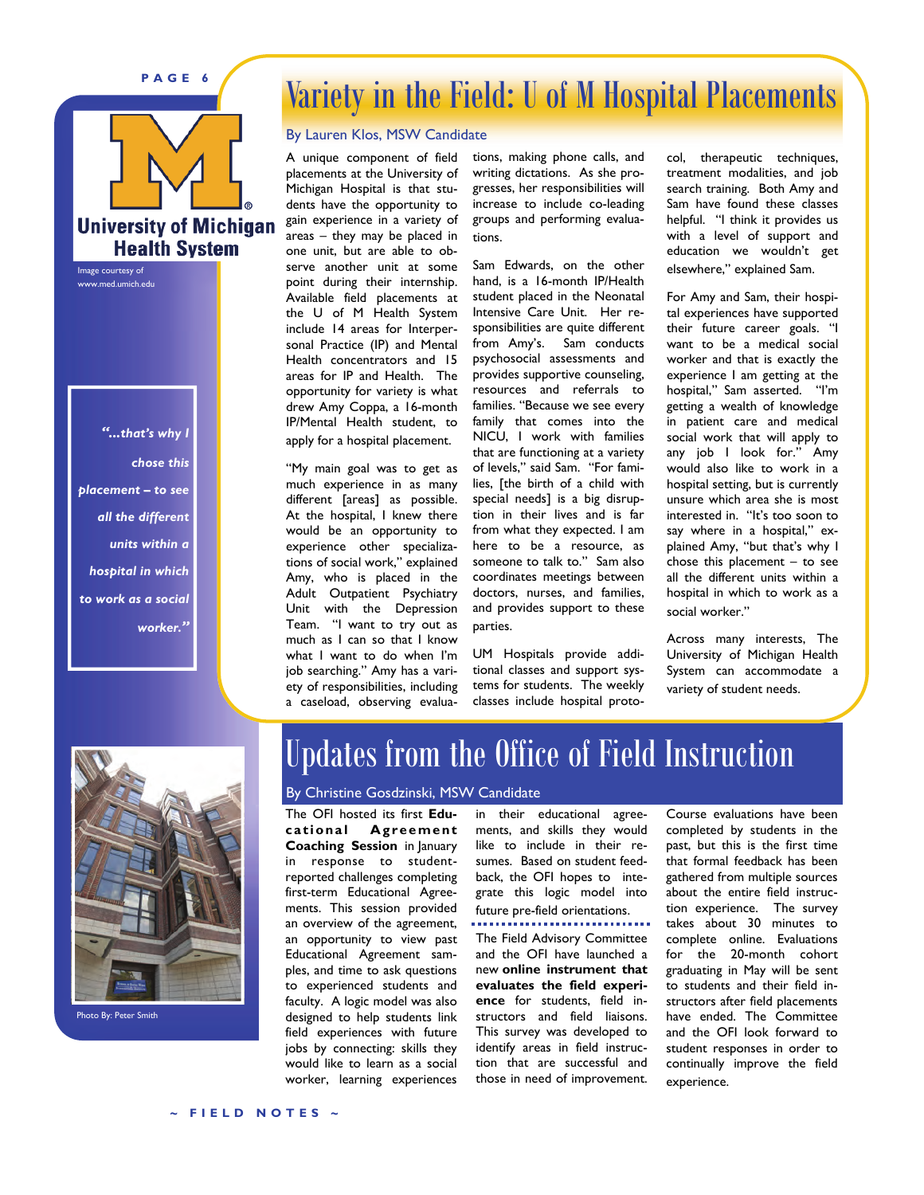

## **University of Michigan Health System**

Image courtesy of www.med.umich.edu

*"...that's why I chose this placement – to see all the different units within a hospital in which to work as a social worker."* 

## **PAGE 6 Variety in the Field: U of M Hospital Placements**

### By Lauren Klos, MSW Candidate

A unique component of field placements at the University of Michigan Hospital is that students have the opportunity to gain experience in a variety of areas – they may be placed in one unit, but are able to observe another unit at some point during their internship. Available field placements at the U of M Health System include 14 areas for Interpersonal Practice (IP) and Mental Health concentrators and 15 areas for IP and Health. The opportunity for variety is what drew Amy Coppa, a 16-month IP/Mental Health student, to apply for a hospital placement.

"My main goal was to get as much experience in as many different [areas] as possible. At the hospital, I knew there would be an opportunity to experience other specializations of social work," explained Amy, who is placed in the Adult Outpatient Psychiatry Unit with the Depression Team. "I want to try out as much as I can so that I know what I want to do when I'm job searching." Amy has a variety of responsibilities, including a caseload, observing evaluations, making phone calls, and writing dictations. As she progresses, her responsibilities will increase to include co-leading groups and performing evaluations.

Sam Edwards, on the other hand, is a 16-month IP/Health student placed in the Neonatal Intensive Care Unit. Her responsibilities are quite different from Amy's. Sam conducts psychosocial assessments and provides supportive counseling, resources and referrals to families. "Because we see every family that comes into the NICU, I work with families that are functioning at a variety of levels," said Sam. "For families, [the birth of a child with special needs] is a big disruption in their lives and is far from what they expected. I am here to be a resource, as someone to talk to." Sam also coordinates meetings between doctors, nurses, and families, and provides support to these parties.

UM Hospitals provide additional classes and support systems for students. The weekly classes include hospital protocol, therapeutic techniques, treatment modalities, and job search training. Both Amy and Sam have found these classes helpful. "I think it provides us with a level of support and education we wouldn't get elsewhere," explained Sam.

For Amy and Sam, their hospital experiences have supported their future career goals. "I want to be a medical social worker and that is exactly the experience I am getting at the hospital," Sam asserted. "I'm getting a wealth of knowledge in patient care and medical social work that will apply to any job I look for." Amy would also like to work in a hospital setting, but is currently unsure which area she is most interested in. "It's too soon to say where in a hospital," explained Amy, "but that's why I chose this placement – to see all the different units within a hospital in which to work as a social worker."

Across many interests, The University of Michigan Health System can accommodate a variety of student needs.



Photo By: Peter Smith

## Updates from the Office of Field Instruction

## By Christine Gosdzinski, MSW Candidate

The OFI hosted its first **Educational Agreement Coaching Session** in January in response to studentreported challenges completing first-term Educational Agreements. This session provided an overview of the agreement, an opportunity to view past Educational Agreement samples, and time to ask questions to experienced students and faculty. A logic model was also designed to help students link field experiences with future jobs by connecting: skills they would like to learn as a social worker, learning experiences

in their educational agreements, and skills they would like to include in their resumes. Based on student feedback, the OFI hopes to integrate this logic model into future pre-field orientations.

The Field Advisory Committee and the OFI have launched a new **online instrument that evaluates the field experience** for students, field instructors and field liaisons. This survey was developed to identify areas in field instruction that are successful and those in need of improvement.

Course evaluations have been completed by students in the past, but this is the first time that formal feedback has been gathered from multiple sources about the entire field instruction experience. The survey takes about 30 minutes to complete online. Evaluations for the 20-month cohort graduating in May will be sent to students and their field instructors after field placements have ended. The Committee and the OFI look forward to student responses in order to continually improve the field experience.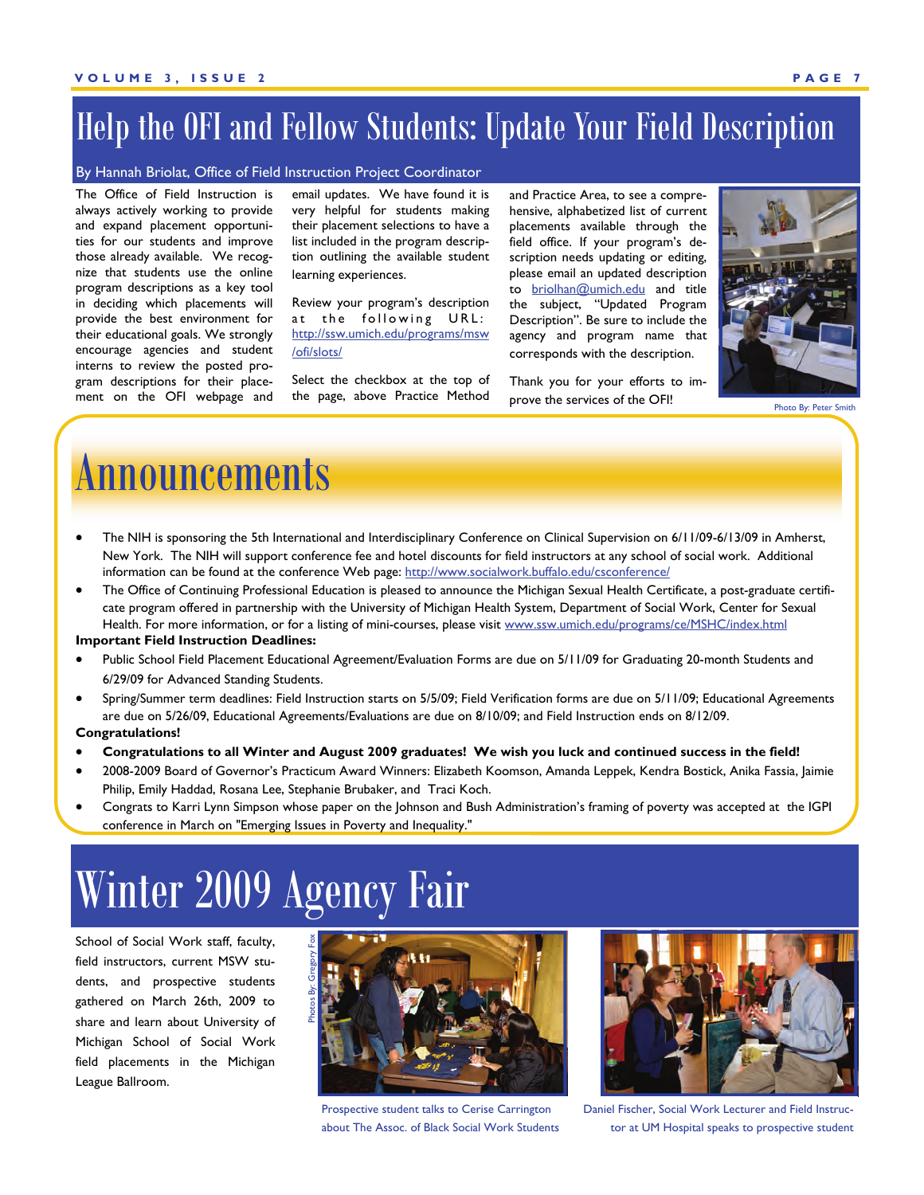## Help the OFI and Fellow Students: Update Your Field Description

By Hannah Briolat, Office of Field Instruction Project Coordinator

The Office of Field Instruction is always actively working to provide and expand placement opportunities for our students and improve those already available. We recognize that students use the online program descriptions as a key tool in deciding which placements will provide the best environment for their educational goals. We strongly encourage agencies and student interns to review the posted program descriptions for their placement on the OFI webpage and email updates. We have found it is very helpful for students making their placement selections to have a list included in the program description outlining the available student learning experiences.

Review your program's description at the following URL: [http://ssw.umich.edu/programs/msw](http://ssw.umich.edu/programs/msw/ofi/slots/) [/ofi/slots/](http://ssw.umich.edu/programs/msw/ofi/slots/)

Select the checkbox at the top of the page, above Practice Method and Practice Area, to see a comprehensive, alphabetized list of current placements available through the field office. If your program's description needs updating or editing, please email an updated description to [briolhan@umich.edu](mailto:briolhan@umich.edu) and title the subject, "Updated Program Description". Be sure to include the agency and program name that corresponds with the description.

Thank you for your efforts to improve the services of the OFI!



Photo By: Peter Smith

## Announcements

- The NIH is sponsoring the 5th International and Interdisciplinary Conference on Clinical Supervision on 6/11/09-6/13/09 in Amherst, New York. The NIH will support conference fee and hotel discounts for field instructors at any school of social work. Additional information can be found at the conference Web page: http://www.socialwork.buffalo.edu/csconference/
- The Office of Continuing Professional Education is pleased to announce the Michigan Sexual Health Certificate, a post-graduate certificate program offered in partnership with the University of Michigan Health System, Department of Social Work, Center for Sexual Health. For more information, or for a listing of mini-courses, please visit www.ssw.umich.edu/programs/ce/MSHC/index.html

### **Important Field Instruction Deadlines:**

- Public School Field Placement Educational Agreement/Evaluation Forms are due on 5/11/09 for Graduating 20-month Students and 6/29/09 for Advanced Standing Students.
- Spring/Summer term deadlines: Field Instruction starts on 5/5/09; Field Verification forms are due on 5/11/09; Educational Agreements are due on 5/26/09, Educational Agreements/Evaluations are due on 8/10/09; and Field Instruction ends on 8/12/09. **Congratulations!**
- **Congratulations to all Winter and August 2009 graduates! We wish you luck and continued success in the field!**
- 2008-2009 Board of Governor's Practicum Award Winners: Elizabeth Koomson, Amanda Leppek, Kendra Bostick, Anika Fassia, Jaimie Philip, Emily Haddad, Rosana Lee, Stephanie Brubaker, and Traci Koch.
- Congrats to Karri Lynn Simpson whose paper on the Johnson and Bush Administration's framing of poverty was accepted at the IGPI conference in March on "Emerging Issues in Poverty and Inequality."

# Winter 2009 Agency Fair

School of Social Work staff, faculty, field instructors, current MSW students, and prospective students gathered on March 26th, 2009 to share and learn about University of Michigan School of Social Work field placements in the Michigan League Ballroom.



Prospective student talks to Cerise Carrington about The Assoc. of Black Social Work Students



Daniel Fischer, Social Work Lecturer and Field Instructor at UM Hospital speaks to prospective student